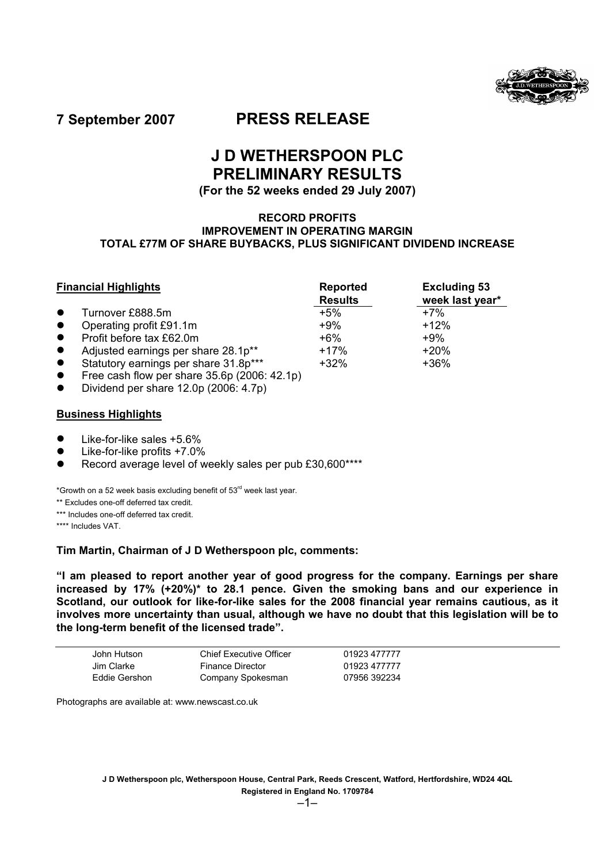

**7 September 2007 PRESS RELEASE** 

# **J D WETHERSPOON PLC PRELIMINARY RESULTS**

# **(For the 52 weeks ended 29 July 2007)**

## **RECORD PROFITS IMPROVEMENT IN OPERATING MARGIN TOTAL £77M OF SHARE BUYBACKS, PLUS SIGNIFICANT DIVIDEND INCREASE**

|           | <b>Financial Highlights</b>                             | <b>Reported</b><br><b>Results</b> | <b>Excluding 53</b><br>week last year* |  |
|-----------|---------------------------------------------------------|-----------------------------------|----------------------------------------|--|
|           | Turnover £888.5m                                        | $+5%$                             | $+7%$                                  |  |
| $\bullet$ | Operating profit £91.1m                                 | $+9%$                             | $+12%$                                 |  |
| $\bullet$ | Profit before tax £62.0m                                | $+6\%$                            | $+9%$                                  |  |
| $\bullet$ | Adjusted earnings per share 28.1p**                     | $+17%$                            | $+20%$                                 |  |
| $\bullet$ | Statutory earnings per share 31.8p***                   | $+32%$                            | $+36%$                                 |  |
|           | $F$ ree cash flow per share 35 fin $(2006 \cdot 12.1n)$ |                                   |                                        |  |

- Free cash flow per share  $35.6p$  (2006: 42.1p)
- Dividend per share 12.0p (2006: 4.7p)

## **Business Highlights**

- Like-for-like sales +5.6%
- Like-for-like profits +7.0%
- Record average level of weekly sales per pub £30,600\*\*\*\*

\*Growth on a 52 week basis excluding benefit of  $53<sup>rd</sup>$  week last year.

- \*\* Excludes one-off deferred tax credit.
- \*\*\* Includes one-off deferred tax credit.

\*\*\*\* Includes VAT.

### **Tim Martin, Chairman of J D Wetherspoon plc, comments:**

**"I am pleased to report another year of good progress for the company. Earnings per share increased by 17% (+20%)\* to 28.1 pence. Given the smoking bans and our experience in Scotland, our outlook for like-for-like sales for the 2008 financial year remains cautious, as it involves more uncertainty than usual, although we have no doubt that this legislation will be to the long-term benefit of the licensed trade".**

| John Hutson   | Chief Executive Officer | 01923 477777 |
|---------------|-------------------------|--------------|
| Jim Clarke    | <b>Finance Director</b> | 01923 477777 |
| Eddie Gershon | Company Spokesman       | 07956 392234 |

Photographs are available at: www.newscast.co.uk

**J D Wetherspoon plc, Wetherspoon House, Central Park, Reeds Crescent, Watford, Hertfordshire, WD24 4QL Registered in England No. 1709784**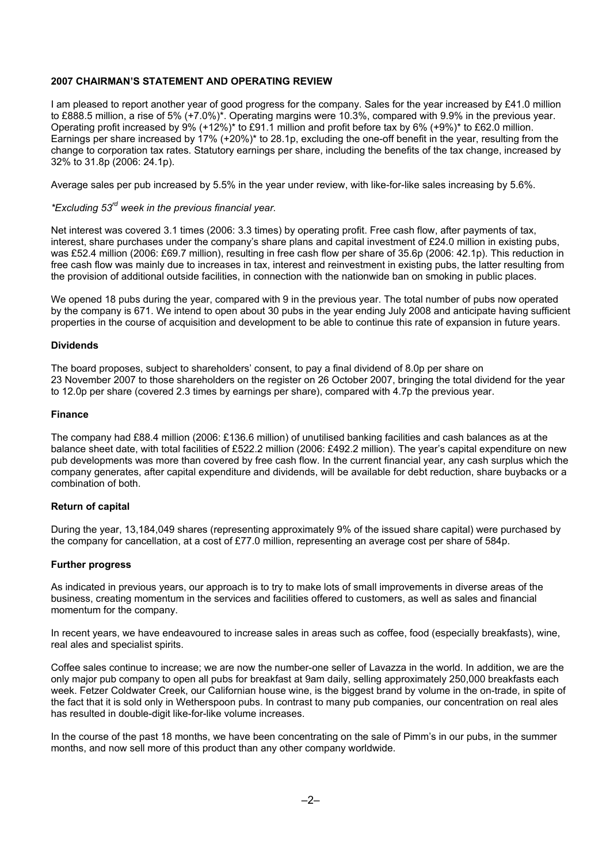## **2007 CHAIRMAN'S STATEMENT AND OPERATING REVIEW**

I am pleased to report another year of good progress for the company. Sales for the year increased by £41.0 million to £888.5 million, a rise of 5% (+7.0%)\*. Operating margins were 10.3%, compared with 9.9% in the previous year. Operating profit increased by 9% (+12%)\* to £91.1 million and profit before tax by 6% (+9%)\* to £62.0 million. Earnings per share increased by 17% (+20%)\* to 28.1p, excluding the one-off benefit in the year, resulting from the change to corporation tax rates. Statutory earnings per share, including the benefits of the tax change, increased by 32% to 31.8p (2006: 24.1p).

Average sales per pub increased by 5.5% in the year under review, with like-for-like sales increasing by 5.6%.

## *\*Excluding 53rd week in the previous financial year.*

Net interest was covered 3.1 times (2006: 3.3 times) by operating profit. Free cash flow, after payments of tax, interest, share purchases under the company's share plans and capital investment of £24.0 million in existing pubs, was £52.4 million (2006: £69.7 million), resulting in free cash flow per share of 35.6p (2006: 42.1p). This reduction in free cash flow was mainly due to increases in tax, interest and reinvestment in existing pubs, the latter resulting from the provision of additional outside facilities, in connection with the nationwide ban on smoking in public places.

We opened 18 pubs during the year, compared with 9 in the previous year. The total number of pubs now operated by the company is 671. We intend to open about 30 pubs in the year ending July 2008 and anticipate having sufficient properties in the course of acquisition and development to be able to continue this rate of expansion in future years.

### **Dividends**

The board proposes, subject to shareholders' consent, to pay a final dividend of 8.0p per share on 23 November 2007 to those shareholders on the register on 26 October 2007, bringing the total dividend for the year to 12.0p per share (covered 2.3 times by earnings per share), compared with 4.7p the previous year.

#### **Finance**

The company had £88.4 million (2006: £136.6 million) of unutilised banking facilities and cash balances as at the balance sheet date, with total facilities of £522.2 million (2006: £492.2 million). The year's capital expenditure on new pub developments was more than covered by free cash flow. In the current financial year, any cash surplus which the company generates, after capital expenditure and dividends, will be available for debt reduction, share buybacks or a combination of both.

### **Return of capital**

During the year, 13,184,049 shares (representing approximately 9% of the issued share capital) were purchased by the company for cancellation, at a cost of £77.0 million, representing an average cost per share of 584p.

### **Further progress**

As indicated in previous years, our approach is to try to make lots of small improvements in diverse areas of the business, creating momentum in the services and facilities offered to customers, as well as sales and financial momentum for the company.

In recent years, we have endeavoured to increase sales in areas such as coffee, food (especially breakfasts), wine, real ales and specialist spirits.

Coffee sales continue to increase; we are now the number-one seller of Lavazza in the world. In addition, we are the only major pub company to open all pubs for breakfast at 9am daily, selling approximately 250,000 breakfasts each week. Fetzer Coldwater Creek, our Californian house wine, is the biggest brand by volume in the on-trade, in spite of the fact that it is sold only in Wetherspoon pubs. In contrast to many pub companies, our concentration on real ales has resulted in double-digit like-for-like volume increases.

In the course of the past 18 months, we have been concentrating on the sale of Pimm's in our pubs, in the summer months, and now sell more of this product than any other company worldwide.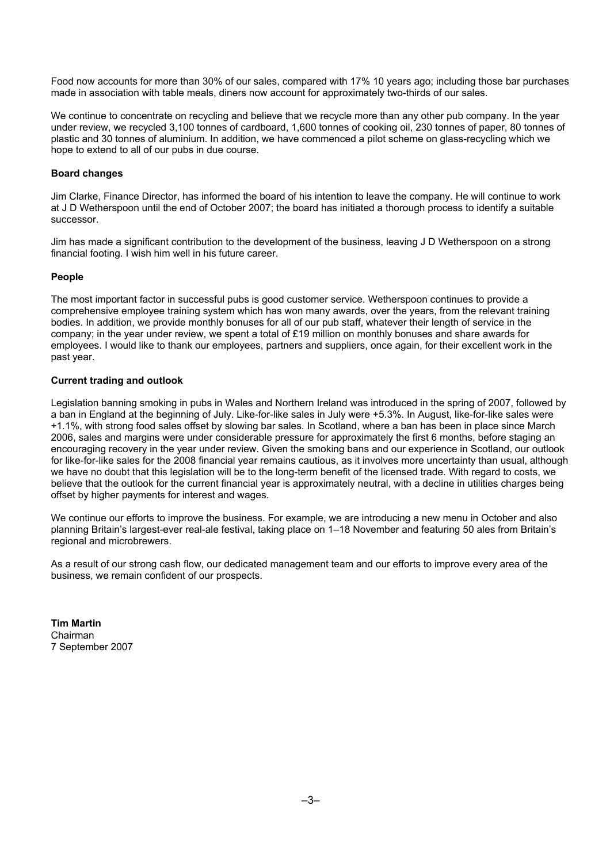Food now accounts for more than 30% of our sales, compared with 17% 10 years ago; including those bar purchases made in association with table meals, diners now account for approximately two-thirds of our sales.

We continue to concentrate on recycling and believe that we recycle more than any other pub company. In the year under review, we recycled 3,100 tonnes of cardboard, 1,600 tonnes of cooking oil, 230 tonnes of paper, 80 tonnes of plastic and 30 tonnes of aluminium. In addition, we have commenced a pilot scheme on glass-recycling which we hope to extend to all of our pubs in due course.

### **Board changes**

Jim Clarke, Finance Director, has informed the board of his intention to leave the company. He will continue to work at J D Wetherspoon until the end of October 2007; the board has initiated a thorough process to identify a suitable successor.

Jim has made a significant contribution to the development of the business, leaving J D Wetherspoon on a strong financial footing. I wish him well in his future career.

### **People**

The most important factor in successful pubs is good customer service. Wetherspoon continues to provide a comprehensive employee training system which has won many awards, over the years, from the relevant training bodies. In addition, we provide monthly bonuses for all of our pub staff, whatever their length of service in the company; in the year under review, we spent a total of £19 million on monthly bonuses and share awards for employees. I would like to thank our employees, partners and suppliers, once again, for their excellent work in the past year.

### **Current trading and outlook**

Legislation banning smoking in pubs in Wales and Northern Ireland was introduced in the spring of 2007, followed by a ban in England at the beginning of July. Like-for-like sales in July were +5.3%. In August, like-for-like sales were +1.1%, with strong food sales offset by slowing bar sales. In Scotland, where a ban has been in place since March 2006, sales and margins were under considerable pressure for approximately the first 6 months, before staging an encouraging recovery in the year under review. Given the smoking bans and our experience in Scotland, our outlook for like-for-like sales for the 2008 financial year remains cautious, as it involves more uncertainty than usual, although we have no doubt that this legislation will be to the long-term benefit of the licensed trade. With regard to costs, we believe that the outlook for the current financial year is approximately neutral, with a decline in utilities charges being offset by higher payments for interest and wages.

We continue our efforts to improve the business. For example, we are introducing a new menu in October and also planning Britain's largest-ever real-ale festival, taking place on 1–18 November and featuring 50 ales from Britain's regional and microbrewers.

As a result of our strong cash flow, our dedicated management team and our efforts to improve every area of the business, we remain confident of our prospects.

**Tim Martin**  Chairman 7 September 2007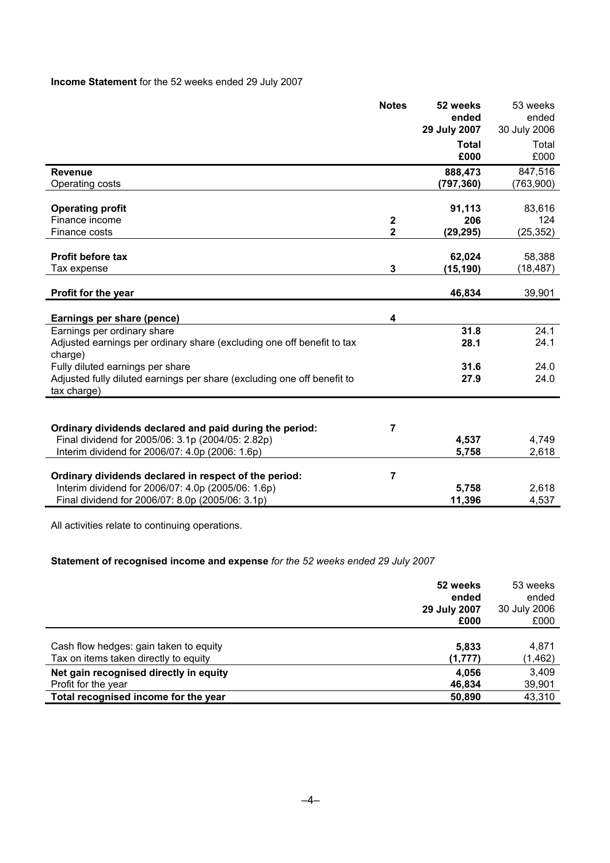# **Income Statement** for the 52 weeks ended 29 July 2007

|                                                                                                             | <b>Notes</b>            | 52 weeks              | 53 weeks              |
|-------------------------------------------------------------------------------------------------------------|-------------------------|-----------------------|-----------------------|
|                                                                                                             |                         | ended<br>29 July 2007 | ended<br>30 July 2006 |
|                                                                                                             |                         | <b>Total</b>          | Total                 |
|                                                                                                             |                         | £000                  | £000                  |
| <b>Revenue</b>                                                                                              |                         | 888,473               | 847,516               |
| Operating costs                                                                                             |                         | (797, 360)            | (763,900)             |
| <b>Operating profit</b>                                                                                     |                         | 91,113                | 83,616                |
| Finance income                                                                                              | $\boldsymbol{2}$        | 206                   | 124                   |
| Finance costs                                                                                               | $\overline{\mathbf{2}}$ | (29, 295)             | (25, 352)             |
|                                                                                                             |                         |                       |                       |
| <b>Profit before tax</b>                                                                                    |                         | 62,024                | 58,388                |
| Tax expense                                                                                                 | 3                       | (15, 190)             | (18, 487)             |
| Profit for the year                                                                                         |                         | 46,834                | 39,901                |
| Earnings per share (pence)                                                                                  | 4                       |                       |                       |
| Earnings per ordinary share                                                                                 |                         | 31.8                  | 24.1                  |
| Adjusted earnings per ordinary share (excluding one off benefit to tax                                      |                         | 28.1                  | 24.1                  |
| charge)                                                                                                     |                         |                       |                       |
| Fully diluted earnings per share<br>Adjusted fully diluted earnings per share (excluding one off benefit to |                         | 31.6<br>27.9          | 24.0<br>24.0          |
| tax charge)                                                                                                 |                         |                       |                       |
|                                                                                                             |                         |                       |                       |
| Ordinary dividends declared and paid during the period:                                                     | 7                       |                       |                       |
| Final dividend for 2005/06: 3.1p (2004/05: 2.82p)                                                           |                         | 4,537                 | 4,749                 |
| Interim dividend for 2006/07: 4.0p (2006: 1.6p)                                                             |                         | 5,758                 | 2,618                 |
| Ordinary dividends declared in respect of the period:                                                       | 7                       |                       |                       |
| Interim dividend for 2006/07: 4.0p (2005/06: 1.6p)                                                          |                         | 5,758                 | 2,618                 |
| Final dividend for 2006/07: 8.0p (2005/06: 3.1p)                                                            |                         | 11,396                | 4,537                 |

All activities relate to continuing operations.

# **Statement of recognised income and expense** *for the 52 weeks ended 29 July 2007*

|                                        | 52 weeks<br>ended<br>29 July 2007<br>£000 | 53 weeks<br>ended<br>30 July 2006<br>£000 |
|----------------------------------------|-------------------------------------------|-------------------------------------------|
| Cash flow hedges: gain taken to equity | 5,833                                     | 4,871                                     |
| Tax on items taken directly to equity  | (1,777)                                   | (1, 462)                                  |
| Net gain recognised directly in equity | 4.056                                     | 3,409                                     |
| Profit for the year                    | 46,834                                    | 39,901                                    |
| Total recognised income for the year   | 50,890                                    | 43,310                                    |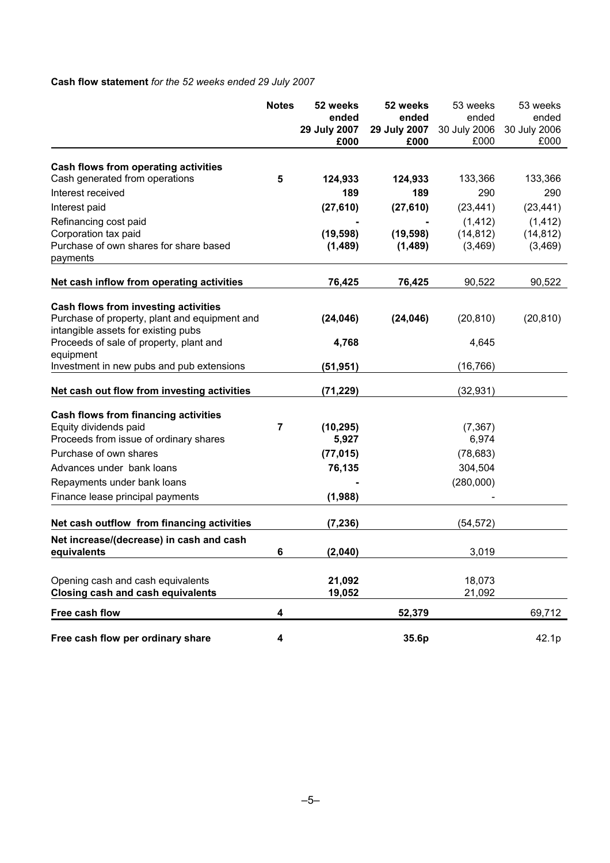# **Cash flow statement** *for the 52 weeks ended 29 July 2007*

|                                                                                                                                                                                      | <b>Notes</b> | 52 weeks<br>ended<br>29 July 2007<br>£000 | 52 weeks<br>ended<br>29 July 2007<br>£000 | 53 weeks<br>ended<br>30 July 2006<br>£000 | 53 weeks<br>ended<br>30 July 2006<br>£000 |
|--------------------------------------------------------------------------------------------------------------------------------------------------------------------------------------|--------------|-------------------------------------------|-------------------------------------------|-------------------------------------------|-------------------------------------------|
| Cash flows from operating activities                                                                                                                                                 |              |                                           |                                           |                                           |                                           |
| Cash generated from operations                                                                                                                                                       | 5            | 124,933                                   | 124,933                                   | 133,366                                   | 133,366                                   |
| Interest received                                                                                                                                                                    |              | 189                                       | 189                                       | 290                                       | 290                                       |
| Interest paid                                                                                                                                                                        |              | (27, 610)                                 | (27, 610)                                 | (23, 441)                                 | (23, 441)                                 |
| Refinancing cost paid<br>Corporation tax paid<br>Purchase of own shares for share based<br>payments                                                                                  |              | (19, 598)<br>(1,489)                      | (19, 598)<br>(1,489)                      | (1, 412)<br>(14, 812)<br>(3,469)          | (1, 412)<br>(14, 812)<br>(3, 469)         |
| Net cash inflow from operating activities                                                                                                                                            |              | 76,425                                    | 76,425                                    | 90,522                                    | 90,522                                    |
| Cash flows from investing activities<br>Purchase of property, plant and equipment and<br>intangible assets for existing pubs<br>Proceeds of sale of property, plant and<br>equipment |              | (24, 046)<br>4,768                        | (24, 046)                                 | (20, 810)<br>4,645                        | (20, 810)                                 |
| Investment in new pubs and pub extensions                                                                                                                                            |              | (51, 951)                                 |                                           | (16, 766)                                 |                                           |
| Net cash out flow from investing activities                                                                                                                                          |              | (71, 229)                                 |                                           | (32, 931)                                 |                                           |
| Cash flows from financing activities<br>Equity dividends paid<br>Proceeds from issue of ordinary shares<br>Purchase of own shares                                                    | 7            | (10, 295)<br>5,927                        |                                           | (7, 367)<br>6,974                         |                                           |
| Advances under bank loans                                                                                                                                                            |              | (77, 015)                                 |                                           | (78, 683)                                 |                                           |
| Repayments under bank loans                                                                                                                                                          |              | 76,135                                    |                                           | 304,504<br>(280,000)                      |                                           |
| Finance lease principal payments                                                                                                                                                     |              | (1,988)                                   |                                           |                                           |                                           |
| Net cash outflow from financing activities                                                                                                                                           |              | (7, 236)                                  |                                           | (54, 572)                                 |                                           |
| Net increase/(decrease) in cash and cash<br>equivalents                                                                                                                              | 6            | (2,040)                                   |                                           | 3,019                                     |                                           |
| Opening cash and cash equivalents<br><b>Closing cash and cash equivalents</b>                                                                                                        |              | 21,092<br>19,052                          |                                           | 18,073<br>21,092                          |                                           |
| Free cash flow                                                                                                                                                                       | 4            |                                           | 52,379                                    |                                           | 69,712                                    |
| Free cash flow per ordinary share                                                                                                                                                    | 4            |                                           | 35.6p                                     |                                           | 42.1p                                     |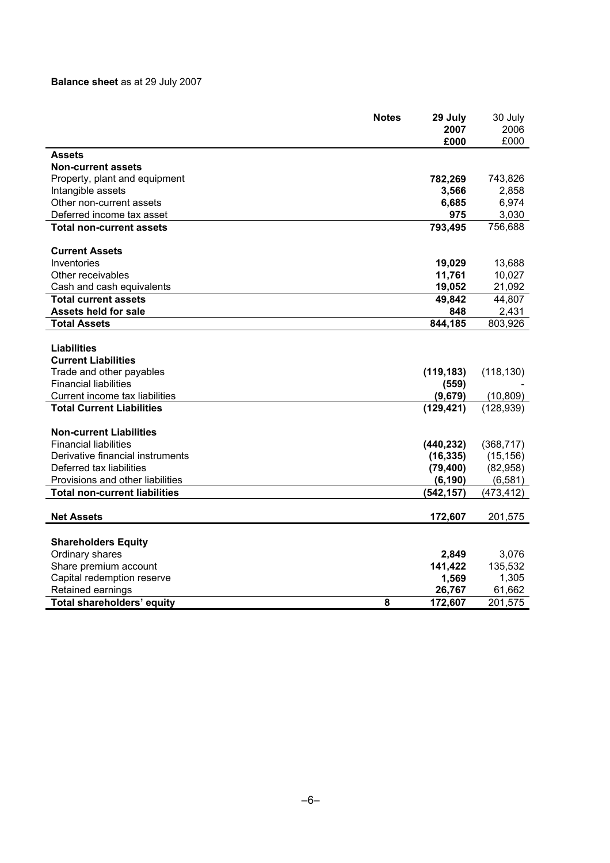# **Balance sheet** as at 29 July 2007

|                                      | <b>Notes</b> | 29 July    | 30 July    |
|--------------------------------------|--------------|------------|------------|
|                                      |              | 2007       | 2006       |
|                                      |              | £000       | £000       |
| <b>Assets</b>                        |              |            |            |
| <b>Non-current assets</b>            |              |            |            |
| Property, plant and equipment        |              | 782,269    | 743,826    |
| Intangible assets                    |              | 3,566      | 2,858      |
| Other non-current assets             |              | 6,685      | 6,974      |
| Deferred income tax asset            |              | 975        | 3,030      |
| <b>Total non-current assets</b>      |              | 793,495    | 756,688    |
| <b>Current Assets</b>                |              |            |            |
| Inventories                          |              | 19,029     | 13,688     |
| Other receivables                    |              | 11,761     | 10,027     |
| Cash and cash equivalents            |              | 19,052     | 21,092     |
| <b>Total current assets</b>          |              | 49,842     | 44,807     |
| <b>Assets held for sale</b>          |              | 848        | 2,431      |
| <b>Total Assets</b>                  |              | 844,185    | 803,926    |
|                                      |              |            |            |
| Liabilities                          |              |            |            |
| <b>Current Liabilities</b>           |              |            |            |
| Trade and other payables             |              | (119, 183) | (118, 130) |
| <b>Financial liabilities</b>         |              | (559)      |            |
| Current income tax liabilities       |              | (9,679)    | (10, 809)  |
| <b>Total Current Liabilities</b>     |              | (129, 421) | (128, 939) |
| <b>Non-current Liabilities</b>       |              |            |            |
| <b>Financial liabilities</b>         |              | (440, 232) | (368, 717) |
| Derivative financial instruments     |              | (16, 335)  | (15, 156)  |
| Deferred tax liabilities             |              | (79, 400)  | (82,958)   |
| Provisions and other liabilities     |              | (6, 190)   | (6, 581)   |
| <b>Total non-current liabilities</b> |              | (542, 157) | (473, 412) |
|                                      |              |            |            |
| <b>Net Assets</b>                    |              | 172,607    | 201,575    |
| <b>Shareholders Equity</b>           |              |            |            |
| Ordinary shares                      |              | 2,849      | 3,076      |
| Share premium account                |              | 141,422    | 135,532    |
| Capital redemption reserve           |              | 1,569      | 1,305      |
| Retained earnings                    |              | 26,767     | 61,662     |
| <b>Total shareholders' equity</b>    | 8            | 172,607    | 201,575    |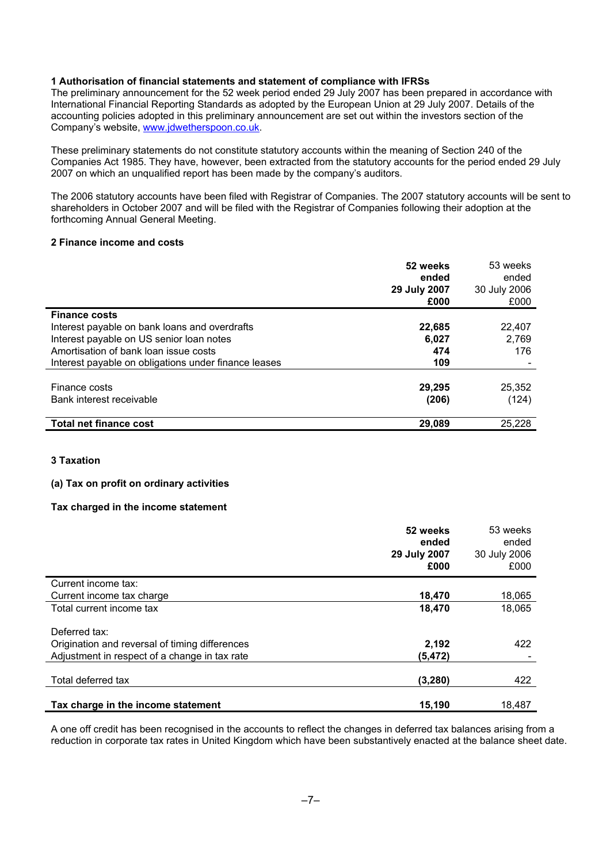### **1 Authorisation of financial statements and statement of compliance with IFRSs**

The preliminary announcement for the 52 week period ended 29 July 2007 has been prepared in accordance with International Financial Reporting Standards as adopted by the European Union at 29 July 2007. Details of the accounting policies adopted in this preliminary announcement are set out within the investors section of the Company's website, www.jdwetherspoon.co.uk.

These preliminary statements do not constitute statutory accounts within the meaning of Section 240 of the Companies Act 1985. They have, however, been extracted from the statutory accounts for the period ended 29 July 2007 on which an unqualified report has been made by the company's auditors.

The 2006 statutory accounts have been filed with Registrar of Companies. The 2007 statutory accounts will be sent to shareholders in October 2007 and will be filed with the Registrar of Companies following their adoption at the forthcoming Annual General Meeting.

### **2 Finance income and costs**

|                                                      | 52 weeks<br>ended<br>29 July 2007<br>£000 | 53 weeks<br>ended<br>30 July 2006<br>£000 |
|------------------------------------------------------|-------------------------------------------|-------------------------------------------|
| <b>Finance costs</b>                                 |                                           |                                           |
| Interest payable on bank loans and overdrafts        | 22,685                                    | 22,407                                    |
| Interest payable on US senior loan notes             | 6,027                                     | 2,769                                     |
| Amortisation of bank loan issue costs                | 474                                       | 176                                       |
| Interest payable on obligations under finance leases | 109                                       |                                           |
| Finance costs<br>Bank interest receivable            | 29.295<br>(206)                           | 25,352<br>(124)                           |
| <b>Total net finance cost</b>                        | 29,089                                    | 25.228                                    |

### **3 Taxation**

### **(a) Tax on profit on ordinary activities**

### **Tax charged in the income statement**

|                                                | 52 weeks<br>ended<br>29 July 2007<br>£000 | 53 weeks<br>ended<br>30 July 2006<br>£000 |
|------------------------------------------------|-------------------------------------------|-------------------------------------------|
| Current income tax:                            |                                           |                                           |
| Current income tax charge                      | 18,470                                    | 18,065                                    |
| Total current income tax                       | 18,470                                    | 18,065                                    |
| Deferred tax:                                  |                                           |                                           |
| Origination and reversal of timing differences | 2,192                                     | 422                                       |
| Adjustment in respect of a change in tax rate  | (5, 472)                                  |                                           |
| Total deferred tax                             | (3, 280)                                  | 422                                       |
| Tax charge in the income statement             | 15.190                                    | 18,487                                    |

A one off credit has been recognised in the accounts to reflect the changes in deferred tax balances arising from a reduction in corporate tax rates in United Kingdom which have been substantively enacted at the balance sheet date.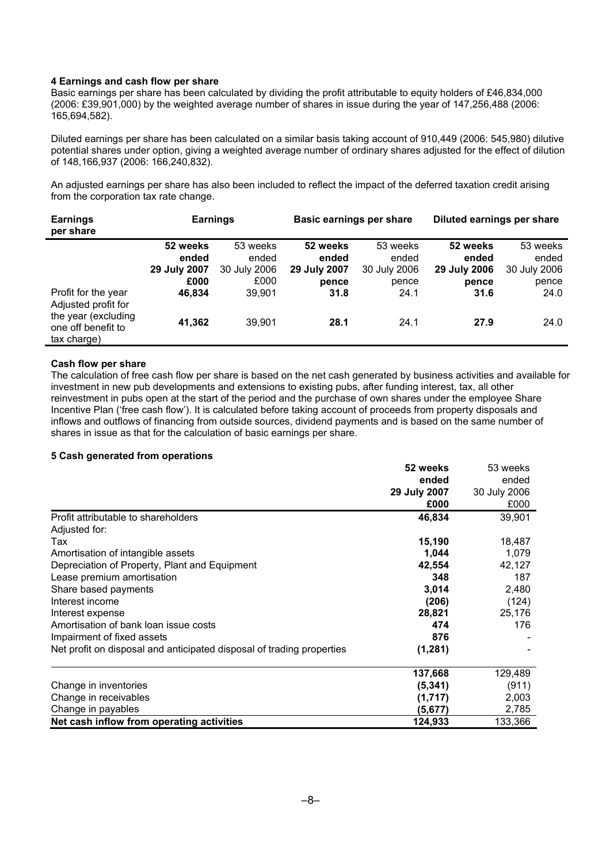### **4 Earnings and cash flow per share**

Basic earnings per share has been calculated by dividing the profit attributable to equity holders of £46,834,000 (2006: £39,901,000) by the weighted average number of shares in issue during the year of 147,256,488 (2006: 165,694,582).

Diluted earnings per share has been calculated on a similar basis taking account of 910,449 (2006: 545,980) dilutive potential shares under option, giving a weighted average number of ordinary shares adjusted for the effect of dilution of 148,166,937 (2006: 166,240,832).

An adjusted earnings per share has also been included to reflect the impact of the deferred taxation credit arising from the corporation tax rate change.

| <b>Earnings</b><br>per share                             | <b>Earnings</b> |              | <b>Basic earnings per share</b> |              | Diluted earnings per share |              |
|----------------------------------------------------------|-----------------|--------------|---------------------------------|--------------|----------------------------|--------------|
|                                                          | 52 weeks        | 53 weeks     | 52 weeks                        | 53 weeks     | 52 weeks                   | 53 weeks     |
|                                                          | ended           | ended        | ended                           | ended        | ended                      | ended        |
|                                                          | 29 July 2007    | 30 July 2006 | 29 July 2007                    | 30 July 2006 | 29 July 2006               | 30 July 2006 |
|                                                          | £000            | £000         | pence                           | pence        | pence                      | pence        |
| Profit for the year<br>Adjusted profit for               | 46.834          | 39.901       | 31.8                            | 24.1         | 31.6                       | 24.0         |
| the year (excluding<br>one off benefit to<br>tax charge) | 41,362          | 39,901       | 28.1                            | 24.1         | 27.9                       | 24.0         |

### **Cash flow per share**

The calculation of free cash flow per share is based on the net cash generated by business activities and available for investment in new pub developments and extensions to existing pubs, after funding interest, tax, all other reinvestment in pubs open at the start of the period and the purchase of own shares under the employee Share Incentive Plan ('free cash flow'). It is calculated before taking account of proceeds from property disposals and inflows and outflows of financing from outside sources, dividend payments and is based on the same number of shares in issue as that for the calculation of basic earnings per share.

### **5 Cash generated from operations**

|                                                                       | 52 weeks     | 53 weeks     |
|-----------------------------------------------------------------------|--------------|--------------|
|                                                                       | ended        | ended        |
|                                                                       | 29 July 2007 | 30 July 2006 |
|                                                                       | £000         | £000         |
| Profit attributable to shareholders                                   | 46,834       | 39,901       |
| Adjusted for:                                                         |              |              |
| Tax                                                                   | 15,190       | 18,487       |
| Amortisation of intangible assets                                     | 1,044        | 1,079        |
| Depreciation of Property, Plant and Equipment                         | 42,554       | 42,127       |
| Lease premium amortisation                                            | 348          | 187          |
| Share based payments                                                  | 3,014        | 2,480        |
| Interest income                                                       | (206)        | (124)        |
| Interest expense                                                      | 28,821       | 25,176       |
| Amortisation of bank loan issue costs                                 | 474          | 176          |
| Impairment of fixed assets                                            | 876          |              |
| Net profit on disposal and anticipated disposal of trading properties | (1, 281)     |              |
|                                                                       | 137,668      | 129,489      |
| Change in inventories                                                 | (5,341)      | (911)        |
| Change in receivables                                                 | (1,717)      | 2,003        |
| Change in payables                                                    | (5,677)      | 2,785        |
| Net cash inflow from operating activities                             | 124,933      | 133,366      |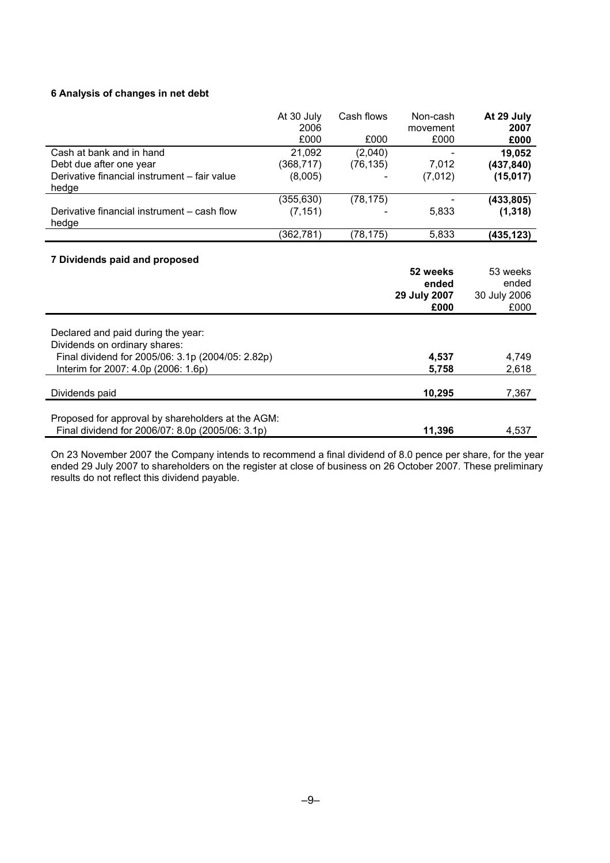# **6 Analysis of changes in net debt**

|                                                                                                       | At 30 July | Cash flows | Non-cash     | At 29 July   |
|-------------------------------------------------------------------------------------------------------|------------|------------|--------------|--------------|
|                                                                                                       | 2006       |            | movement     | 2007         |
|                                                                                                       | £000       | £000       | £000         | £000         |
| Cash at bank and in hand                                                                              | 21,092     | (2,040)    |              | 19,052       |
| Debt due after one year                                                                               | (368, 717) | (76, 135)  | 7,012        | (437, 840)   |
| Derivative financial instrument - fair value                                                          | (8,005)    |            | (7,012)      | (15,017)     |
| hedge                                                                                                 |            |            |              |              |
|                                                                                                       | (355, 630) | (78, 175)  |              | (433, 805)   |
| Derivative financial instrument – cash flow                                                           | (7, 151)   |            | 5,833        | (1, 318)     |
| hedge                                                                                                 |            |            |              |              |
|                                                                                                       | (362, 781) | (78, 175)  | 5,833        | (435,123)    |
| 7 Dividends paid and proposed                                                                         |            |            | 52 weeks     | 53 weeks     |
|                                                                                                       |            |            | ended        | ended        |
|                                                                                                       |            |            | 29 July 2007 | 30 July 2006 |
|                                                                                                       |            |            | £000         | £000         |
| Declared and paid during the year:<br>Dividends on ordinary shares:                                   |            |            |              |              |
| Final dividend for 2005/06: 3.1p (2004/05: 2.82p)                                                     |            |            | 4,537        | 4,749        |
| Interim for 2007: 4.0p (2006: 1.6p)                                                                   |            |            | 5,758        | 2,618        |
| Dividends paid                                                                                        |            |            | 10,295       | 7,367        |
| Proposed for approval by shareholders at the AGM:<br>Final dividend for 2006/07: 8.0p (2005/06: 3.1p) |            |            | 11,396       | 4,537        |

On 23 November 2007 the Company intends to recommend a final dividend of 8.0 pence per share, for the year ended 29 July 2007 to shareholders on the register at close of business on 26 October 2007. These preliminary results do not reflect this dividend payable.